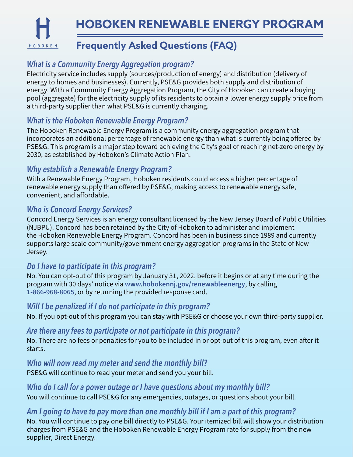**HOBOKEN RENEWABLE ENERGY PROGRAMFrequently Asked Questions (FAQ)** HOBOKEN

# *What is a Community Energy Aggregation program?*

Electricity service includes supply (sources/production of energy) and distribution (delivery of energy to homes and businesses). Currently, PSE&G provides both supply and distribution of energy. With a Community Energy Aggregation Program, the City of Hoboken can create a buying pool (aggregate) for the electricity supply of its residents to obtain a lower energy supply price from a third-party supplier than what PSE&G is currently charging.

## *What is the Hoboken Renewable Energy Program?*

The Hoboken Renewable Energy Program is a community energy aggregation program that incorporates an additional percentage of renewable energy than what is currently being offered by PSE&G. This program is a major step toward achieving the City's goal of reaching net-zero energy by 2030, as established by Hoboken's Climate Action Plan.

## *Why establish a Renewable Energy Program?*

With a Renewable Energy Program, Hoboken residents could access a higher percentage of renewable energy supply than offered by PSE&G, making access to renewable energy safe, convenient, and affordable.

# *Who is Concord Energy Services?*

Concord Energy Services is an energy consultant licensed by the New Jersey Board of Public Utilities (NJBPU). Concord has been retained by the City of Hoboken to administer and implement the Hoboken Renewable Energy Program. Concord has been in business since 1989 and currently supports large scale community/government energy aggregation programs in the State of New Jersey.

## *Do I have to participate in this program?*

No. You can opt-out of this program by January 31, 2022, before it begins or at any time during the program with 30 days' notice via **www.hobokennj.gov/renewableenergy**, by calling **1-866-968-8065**, or by returning the provided response card.

### *Will I be penalized if I do not participate in this program?*

No. If you opt-out of this program you can stay with PSE&G or choose your own third-party supplier.

### *Are there any fees to participate or not participate in this program?*

No. There are no fees or penalties for you to be included in or opt-out of this program, even after it starts.

### *Who will now read my meter and send the monthly bill?*

PSE&G will continue to read your meter and send you your bill.

## *Who do I call for a power outage or I have questions about my monthly bill?*

You will continue to call PSE&G for any emergencies, outages, or questions about your bill.

## *Am I going to have to pay more than one monthly bill if I am a part of this program?*

No. You will continue to pay one bill directly to PSE&G. Your itemized bill will show your distribution charges from PSE&G and the Hoboken Renewable Energy Program rate for supply from the new supplier, Direct Energy.